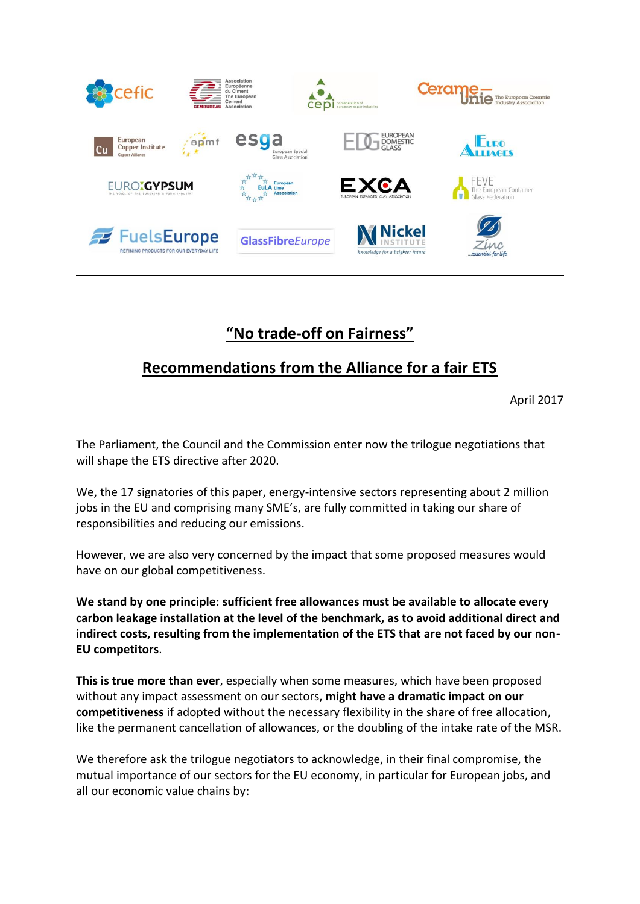

## **"No trade-off on Fairness"**

## **Recommendations from the Alliance for a fair ETS**

April 2017

The Parliament, the Council and the Commission enter now the trilogue negotiations that will shape the ETS directive after 2020.

We, the 17 signatories of this paper, energy-intensive sectors representing about 2 million jobs in the EU and comprising many SME's, are fully committed in taking our share of responsibilities and reducing our emissions.

However, we are also very concerned by the impact that some proposed measures would have on our global competitiveness.

**We stand by one principle: sufficient free allowances must be available to allocate every carbon leakage installation at the level of the benchmark, as to avoid additional direct and indirect costs, resulting from the implementation of the ETS that are not faced by our non-EU competitors**.

**This is true more than ever**, especially when some measures, which have been proposed without any impact assessment on our sectors, **might have a dramatic impact on our competitiveness** if adopted without the necessary flexibility in the share of free allocation, like the permanent cancellation of allowances, or the doubling of the intake rate of the MSR.

We therefore ask the trilogue negotiators to acknowledge, in their final compromise, the mutual importance of our sectors for the EU economy, in particular for European jobs, and all our economic value chains by: